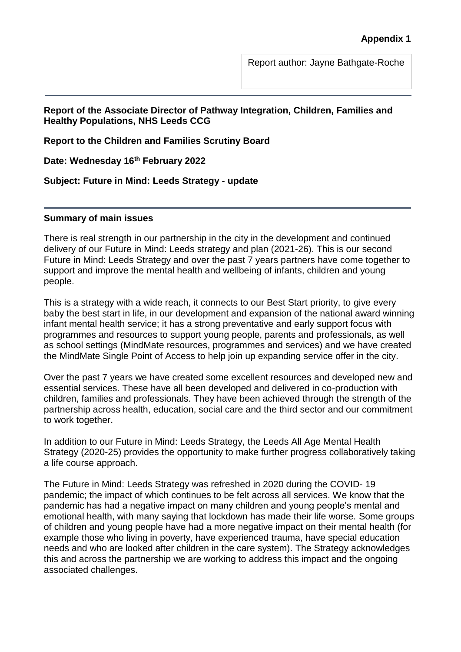Report author: Jayne Bathgate-Roche

#### **Report of the Associate Director of Pathway Integration, Children, Families and Healthy Populations, NHS Leeds CCG**

**Report to the Children and Families Scrutiny Board**

**Date: Wednesday 16th February 2022**

**Subject: Future in Mind: Leeds Strategy - update**

#### **Summary of main issues**

There is real strength in our partnership in the city in the development and continued delivery of our Future in Mind: Leeds strategy and plan (2021-26). This is our second Future in Mind: Leeds Strategy and over the past 7 years partners have come together to support and improve the mental health and wellbeing of infants, children and young people.

This is a strategy with a wide reach, it connects to our Best Start priority, to give every baby the best start in life, in our development and expansion of the national award winning infant mental health service; it has a strong preventative and early support focus with programmes and resources to support young people, parents and professionals, as well as school settings (MindMate resources, programmes and services) and we have created the MindMate Single Point of Access to help join up expanding service offer in the city.

Over the past 7 years we have created some excellent resources and developed new and essential services. These have all been developed and delivered in co-production with children, families and professionals. They have been achieved through the strength of the partnership across health, education, social care and the third sector and our commitment to work together.

In addition to our Future in Mind: Leeds Strategy, the Leeds All Age Mental Health Strategy (2020-25) provides the opportunity to make further progress collaboratively taking a life course approach.

The Future in Mind: Leeds Strategy was refreshed in 2020 during the COVID- 19 pandemic; the impact of which continues to be felt across all services. We know that the pandemic has had a negative impact on many children and young people's mental and emotional health, with many saying that lockdown has made their life worse. Some groups of children and young people have had a more negative impact on their mental health (for example those who living in poverty, have experienced trauma, have special education needs and who are looked after children in the care system). The Strategy acknowledges this and across the partnership we are working to address this impact and the ongoing associated challenges.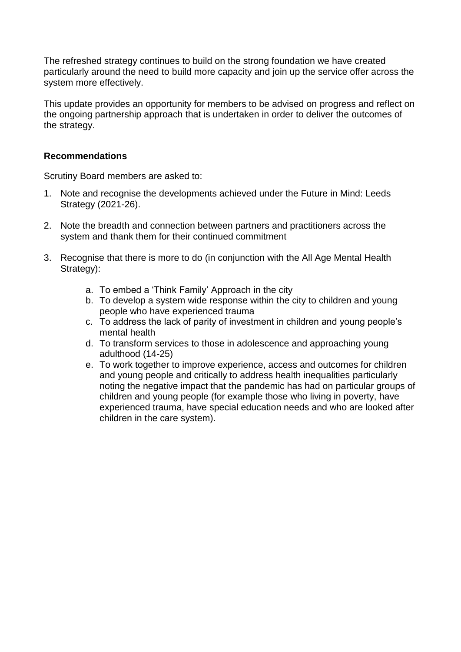The refreshed strategy continues to build on the strong foundation we have created particularly around the need to build more capacity and join up the service offer across the system more effectively.

This update provides an opportunity for members to be advised on progress and reflect on the ongoing partnership approach that is undertaken in order to deliver the outcomes of the strategy.

#### **Recommendations**

Scrutiny Board members are asked to:

- 1. Note and recognise the developments achieved under the Future in Mind: Leeds Strategy (2021-26).
- 2. Note the breadth and connection between partners and practitioners across the system and thank them for their continued commitment
- 3. Recognise that there is more to do (in conjunction with the All Age Mental Health Strategy):
	- a. To embed a 'Think Family' Approach in the city
	- b. To develop a system wide response within the city to children and young people who have experienced trauma
	- c. To address the lack of parity of investment in children and young people's mental health
	- d. To transform services to those in adolescence and approaching young adulthood (14-25)
	- e. To work together to improve experience, access and outcomes for children and young people and critically to address health inequalities particularly noting the negative impact that the pandemic has had on particular groups of children and young people (for example those who living in poverty, have experienced trauma, have special education needs and who are looked after children in the care system).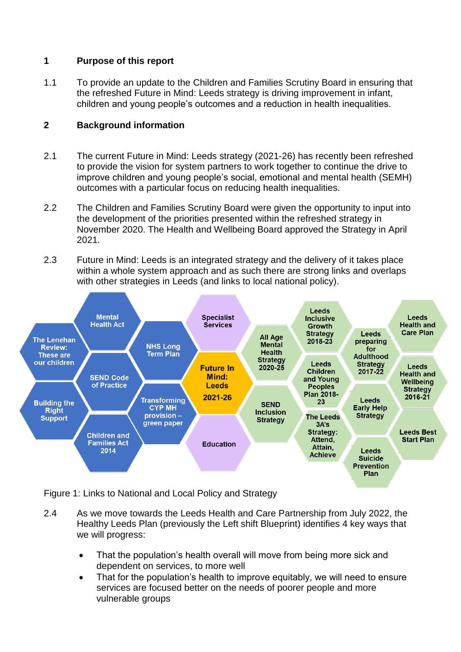# **1 Purpose of this report**

1.1 To provide an update to the Children and Families Scrutiny Board in ensuring that the refreshed Future in Mind: Leeds strategy is driving improvement in infant, children and young people's outcomes and a reduction in health inequalities.

# **2 Background information**

- 2.1 The current Future in Mind: Leeds strategy (2021-26) has recently been refreshed to provide the vision for system partners to work together to continue the drive to improve children and young people's social, emotional and mental health (SEMH) outcomes with a particular focus on reducing health inequalities.
- 2.2 The Children and Families Scrutiny Board were given the opportunity to input into the development of the priorities presented within the refreshed strategy in November 2020. The Health and Wellbeing Board approved the Strategy in April 2021.
- 2.3 Future in Mind: Leeds is an integrated strategy and the delivery of it takes place within a whole system approach and as such there are strong links and overlaps with other strategies in Leeds (and links to local national policy).



Figure 1: Links to National and Local Policy and Strategy

- 2.4 As we move towards the Leeds Health and Care Partnership from July 2022, the Healthy Leeds Plan (previously the Left shift Blueprint) identifies 4 key ways that we will progress:
	- That the population's health overall will move from being more sick and dependent on services, to more well
	- That for the population's health to improve equitably, we will need to ensure services are focused better on the needs of poorer people and more vulnerable groups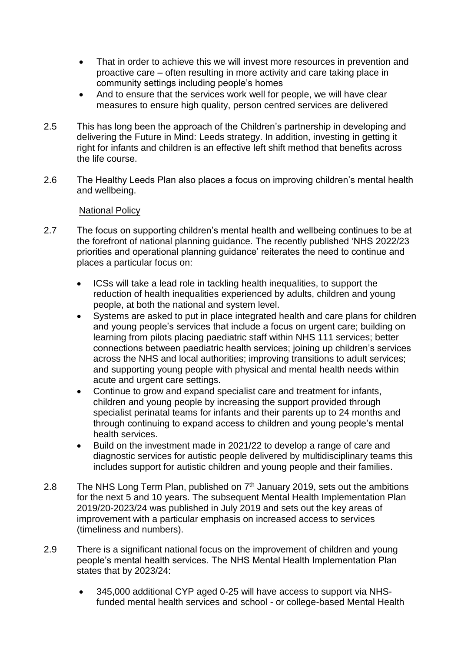- That in order to achieve this we will invest more resources in prevention and proactive care – often resulting in more activity and care taking place in community settings including people's homes
- And to ensure that the services work well for people, we will have clear measures to ensure high quality, person centred services are delivered
- 2.5 This has long been the approach of the Children's partnership in developing and delivering the Future in Mind: Leeds strategy. In addition, investing in getting it right for infants and children is an effective left shift method that benefits across the life course.
- 2.6 The Healthy Leeds Plan also places a focus on improving children's mental health and wellbeing.

### National Policy

- 2.7 The focus on supporting children's mental health and wellbeing continues to be at the forefront of national planning guidance. The recently published 'NHS 2022/23 priorities and operational planning guidance' reiterates the need to continue and places a particular focus on:
	- ICSs will take a lead role in tackling health inequalities, to support the reduction of health inequalities experienced by adults, children and young people, at both the national and system level.
	- Systems are asked to put in place integrated health and care plans for children and young people's services that include a focus on urgent care; building on learning from pilots placing paediatric staff within NHS 111 services; better connections between paediatric health services; joining up children's services across the NHS and local authorities; improving transitions to adult services; and supporting young people with physical and mental health needs within acute and urgent care settings.
	- Continue to grow and expand specialist care and treatment for infants, children and young people by increasing the support provided through specialist perinatal teams for infants and their parents up to 24 months and through continuing to expand access to children and young people's mental health services.
	- Build on the investment made in 2021/22 to develop a range of care and diagnostic services for autistic people delivered by multidisciplinary teams this includes support for autistic children and young people and their families.
- 2.8 The NHS Long Term Plan, published on  $7<sup>th</sup>$  January 2019, sets out the ambitions for the next 5 and 10 years. The subsequent Mental Health Implementation Plan 2019/20-2023/24 was published in July 2019 and sets out the key areas of improvement with a particular emphasis on increased access to services (timeliness and numbers).
- 2.9 There is a significant national focus on the improvement of children and young people's mental health services. The NHS Mental Health Implementation Plan states that by 2023/24:
	- 345,000 additional CYP aged 0-25 will have access to support via NHSfunded mental health services and school - or college-based Mental Health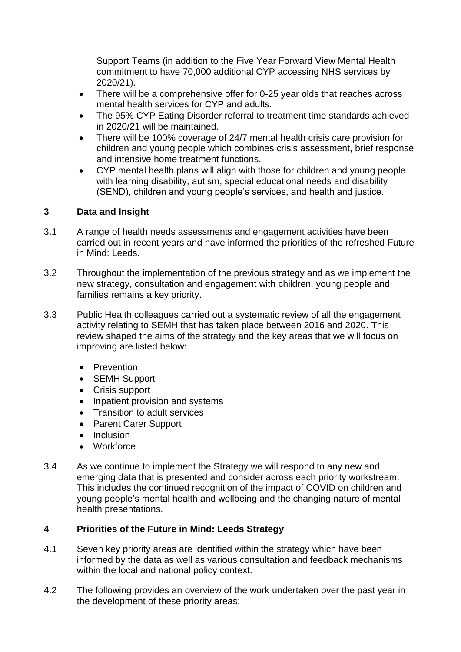Support Teams (in addition to the Five Year Forward View Mental Health commitment to have 70,000 additional CYP accessing NHS services by 2020/21).

- There will be a comprehensive offer for 0-25 year olds that reaches across mental health services for CYP and adults.
- The 95% CYP Eating Disorder referral to treatment time standards achieved in 2020/21 will be maintained.
- There will be 100% coverage of 24/7 mental health crisis care provision for children and young people which combines crisis assessment, brief response and intensive home treatment functions.
- CYP mental health plans will align with those for children and young people with learning disability, autism, special educational needs and disability (SEND), children and young people's services, and health and justice.

# **3 Data and Insight**

- 3.1 A range of health needs assessments and engagement activities have been carried out in recent years and have informed the priorities of the refreshed Future in Mind: Leeds.
- 3.2 Throughout the implementation of the previous strategy and as we implement the new strategy, consultation and engagement with children, young people and families remains a key priority.
- 3.3 Public Health colleagues carried out a systematic review of all the engagement activity relating to SEMH that has taken place between 2016 and 2020. This review shaped the aims of the strategy and the key areas that we will focus on improving are listed below:
	- Prevention
	- SEMH Support
	- Crisis support
	- Inpatient provision and systems
	- Transition to adult services
	- Parent Carer Support
	- $\bullet$  Inclusion
	- Workforce
- 3.4 As we continue to implement the Strategy we will respond to any new and emerging data that is presented and consider across each priority workstream. This includes the continued recognition of the impact of COVID on children and young people's mental health and wellbeing and the changing nature of mental health presentations.

# **4 Priorities of the Future in Mind: Leeds Strategy**

- 4.1 Seven key priority areas are identified within the strategy which have been informed by the data as well as various consultation and feedback mechanisms within the local and national policy context.
- 4.2 The following provides an overview of the work undertaken over the past year in the development of these priority areas: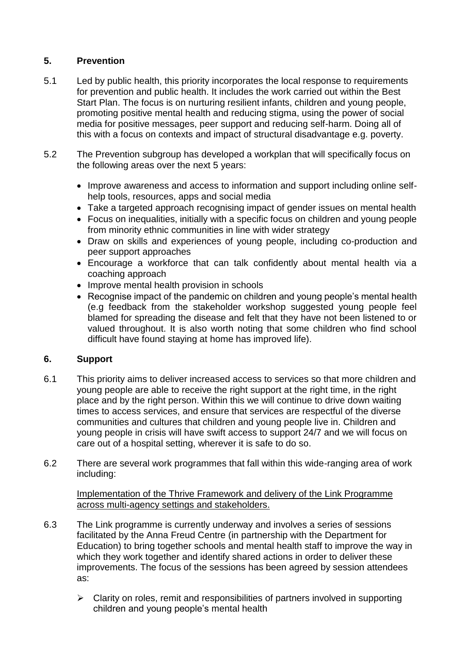# **5. Prevention**

- 5.1 Led by public health, this priority incorporates the local response to requirements for prevention and public health. It includes the work carried out within the Best Start Plan. The focus is on nurturing resilient infants, children and young people, promoting positive mental health and reducing stigma, using the power of social media for positive messages, peer support and reducing self-harm. Doing all of this with a focus on contexts and impact of structural disadvantage e.g. poverty.
- 5.2 The Prevention subgroup has developed a workplan that will specifically focus on the following areas over the next 5 years:
	- Improve awareness and access to information and support including online selfhelp tools, resources, apps and social media
	- Take a targeted approach recognising impact of gender issues on mental health
	- Focus on inequalities, initially with a specific focus on children and young people from minority ethnic communities in line with wider strategy
	- Draw on skills and experiences of young people, including co-production and peer support approaches
	- Encourage a workforce that can talk confidently about mental health via a coaching approach
	- Improve mental health provision in schools
	- Recognise impact of the pandemic on children and young people's mental health (e.g feedback from the stakeholder workshop suggested young people feel blamed for spreading the disease and felt that they have not been listened to or valued throughout. It is also worth noting that some children who find school difficult have found staying at home has improved life).

# **6. Support**

- 6.1 This priority aims to deliver increased access to services so that more children and young people are able to receive the right support at the right time, in the right place and by the right person. Within this we will continue to drive down waiting times to access services, and ensure that services are respectful of the diverse communities and cultures that children and young people live in. Children and young people in crisis will have swift access to support 24/7 and we will focus on care out of a hospital setting, wherever it is safe to do so.
- 6.2 There are several work programmes that fall within this wide-ranging area of work including:

Implementation of the Thrive Framework and delivery of the Link Programme across multi-agency settings and stakeholders.

- 6.3 The Link programme is currently underway and involves a series of sessions facilitated by the Anna Freud Centre (in partnership with the Department for Education) to bring together schools and mental health staff to improve the way in which they work together and identify shared actions in order to deliver these improvements. The focus of the sessions has been agreed by session attendees as:
	- $\triangleright$  Clarity on roles, remit and responsibilities of partners involved in supporting children and young people's mental health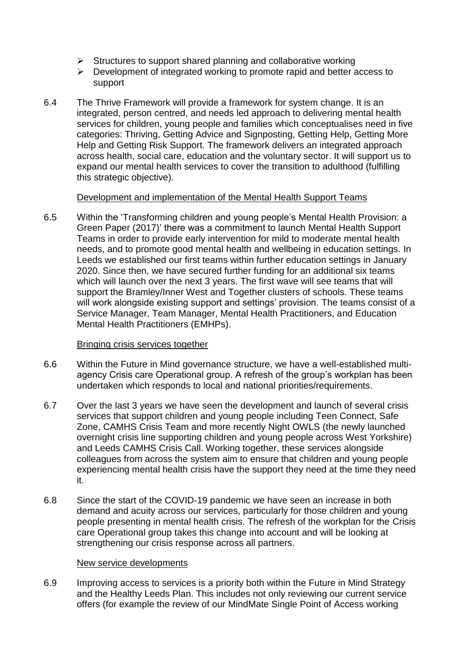- $\triangleright$  Structures to support shared planning and collaborative working
- $\triangleright$  Development of integrated working to promote rapid and better access to support
- 6.4 The Thrive Framework will provide a framework for system change. It is an integrated, person centred, and needs led approach to delivering mental health services for children, young people and families which conceptualises need in five categories: Thriving, Getting Advice and Signposting, Getting Help, Getting More Help and Getting Risk Support. The framework delivers an integrated approach across health, social care, education and the voluntary sector. It will support us to expand our mental health services to cover the transition to adulthood (fulfilling this strategic objective).

### Development and implementation of the Mental Health Support Teams

6.5 Within the 'Transforming children and young people's Mental Health Provision: a Green Paper (2017)' there was a commitment to launch Mental Health Support Teams in order to provide early intervention for mild to moderate mental health needs, and to promote good mental health and wellbeing in education settings. In Leeds we established our first teams within further education settings in January 2020. Since then, we have secured further funding for an additional six teams which will launch over the next 3 years. The first wave will see teams that will support the Bramley/Inner West and Together clusters of schools. These teams will work alongside existing support and settings' provision. The teams consist of a Service Manager, Team Manager, Mental Health Practitioners, and Education Mental Health Practitioners (EMHPs).

#### Bringing crisis services together

- 6.6 Within the Future in Mind governance structure, we have a well-established multiagency Crisis care Operational group. A refresh of the group's workplan has been undertaken which responds to local and national priorities/requirements.
- 6.7 Over the last 3 years we have seen the development and launch of several crisis services that support children and young people including Teen Connect, Safe Zone, CAMHS Crisis Team and more recently Night OWLS (the newly launched overnight crisis line supporting children and young people across West Yorkshire) and Leeds CAMHS Crisis Call. Working together, these services alongside colleagues from across the system aim to ensure that children and young people experiencing mental health crisis have the support they need at the time they need it.
- 6.8 Since the start of the COVID-19 pandemic we have seen an increase in both demand and acuity across our services, particularly for those children and young people presenting in mental health crisis. The refresh of the workplan for the Crisis care Operational group takes this change into account and will be looking at strengthening our crisis response across all partners.

#### New service developments

6.9 Improving access to services is a priority both within the Future in Mind Strategy and the Healthy Leeds Plan. This includes not only reviewing our current service offers (for example the review of our MindMate Single Point of Access working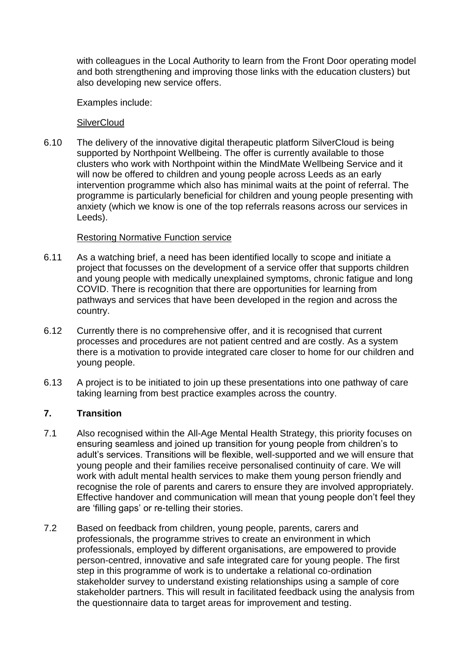with colleagues in the Local Authority to learn from the Front Door operating model and both strengthening and improving those links with the education clusters) but also developing new service offers.

Examples include:

**SilverCloud** 

6.10 The delivery of the innovative digital therapeutic platform SilverCloud is being supported by Northpoint Wellbeing. The offer is currently available to those clusters who work with Northpoint within the MindMate Wellbeing Service and it will now be offered to children and young people across Leeds as an early intervention programme which also has minimal waits at the point of referral. The programme is particularly beneficial for children and young people presenting with anxiety (which we know is one of the top referrals reasons across our services in Leeds).

# Restoring Normative Function service

- 6.11 As a watching brief, a need has been identified locally to scope and initiate a project that focusses on the development of a service offer that supports children and young people with medically unexplained symptoms, chronic fatigue and long COVID. There is recognition that there are opportunities for learning from pathways and services that have been developed in the region and across the country.
- 6.12 Currently there is no comprehensive offer, and it is recognised that current processes and procedures are not patient centred and are costly. As a system there is a motivation to provide integrated care closer to home for our children and young people.
- 6.13 A project is to be initiated to join up these presentations into one pathway of care taking learning from best practice examples across the country.

# **7. Transition**

- 7.1 Also recognised within the All-Age Mental Health Strategy, this priority focuses on ensuring seamless and joined up transition for young people from children's to adult's services. Transitions will be flexible, well-supported and we will ensure that young people and their families receive personalised continuity of care. We will work with adult mental health services to make them young person friendly and recognise the role of parents and carers to ensure they are involved appropriately. Effective handover and communication will mean that young people don't feel they are 'filling gaps' or re-telling their stories.
- 7.2 Based on feedback from children, young people, parents, carers and professionals, the programme strives to create an environment in which professionals, employed by different organisations, are empowered to provide person-centred, innovative and safe integrated care for young people. The first step in this programme of work is to undertake a relational co-ordination stakeholder survey to understand existing relationships using a sample of core stakeholder partners. This will result in facilitated feedback using the analysis from the questionnaire data to target areas for improvement and testing.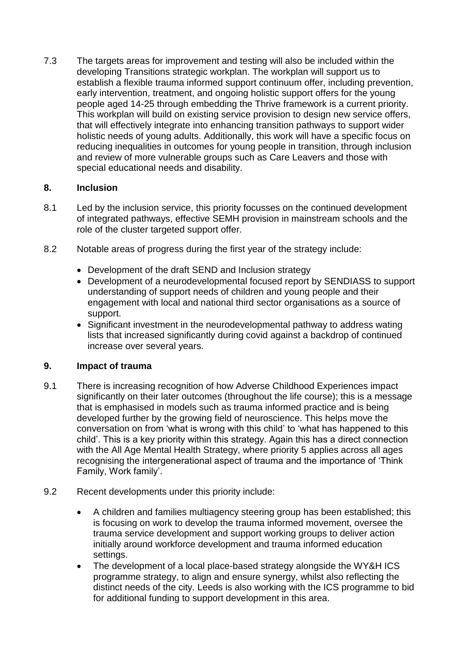7.3 The targets areas for improvement and testing will also be included within the developing Transitions strategic workplan. The workplan will support us to establish a flexible trauma informed support continuum offer, including prevention, early intervention, treatment, and ongoing holistic support offers for the young people aged 14-25 through embedding the Thrive framework is a current priority. This workplan will build on existing service provision to design new service offers, that will effectively integrate into enhancing transition pathways to support wider holistic needs of young adults. Additionally, this work will have a specific focus on reducing inequalities in outcomes for young people in transition, through inclusion and review of more vulnerable groups such as Care Leavers and those with special educational needs and disability.

# **8. Inclusion**

- 8.1 Led by the inclusion service, this priority focusses on the continued development of integrated pathways, effective SEMH provision in mainstream schools and the role of the cluster targeted support offer.
- 8.2 Notable areas of progress during the first year of the strategy include:
	- Development of the draft SEND and Inclusion strategy
	- Development of a neurodevelopmental focused report by SENDIASS to support understanding of support needs of children and young people and their engagement with local and national third sector organisations as a source of support.
	- Significant investment in the neurodevelopmental pathway to address wating lists that increased significantly during covid against a backdrop of continued increase over several years.

# **9. Impact of trauma**

- 9.1 There is increasing recognition of how Adverse Childhood Experiences impact significantly on their later outcomes (throughout the life course); this is a message that is emphasised in models such as trauma informed practice and is being developed further by the growing field of neuroscience. This helps move the conversation on from 'what is wrong with this child' to 'what has happened to this child'. This is a key priority within this strategy. Again this has a direct connection with the All Age Mental Health Strategy, where priority 5 applies across all ages recognising the intergenerational aspect of trauma and the importance of 'Think Family, Work family'.
- 9.2 Recent developments under this priority include:
	- A children and families multiagency steering group has been established; this is focusing on work to develop the trauma informed movement, oversee the trauma service development and support working groups to deliver action initially around workforce development and trauma informed education settings.
	- The development of a local place-based strategy alongside the WY&H ICS programme strategy, to align and ensure synergy, whilst also reflecting the distinct needs of the city. Leeds is also working with the ICS programme to bid for additional funding to support development in this area.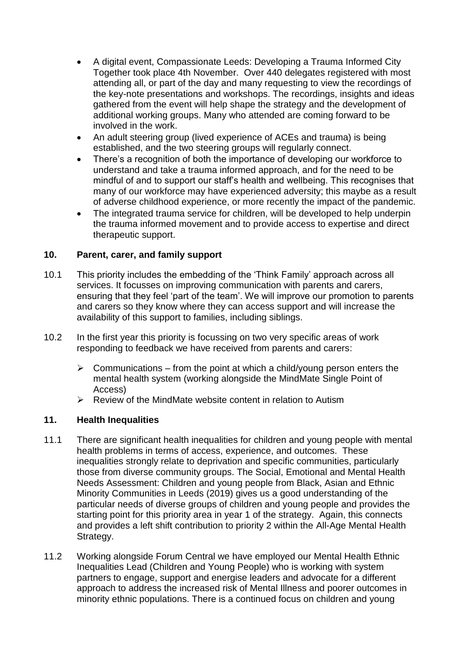- A digital event, Compassionate Leeds: Developing a Trauma Informed City Together took place 4th November. Over 440 delegates registered with most attending all, or part of the day and many requesting to view the recordings of the key-note presentations and workshops. The recordings, insights and ideas gathered from the event will help shape the strategy and the development of additional working groups. Many who attended are coming forward to be involved in the work.
- An adult steering group (lived experience of ACEs and trauma) is being established, and the two steering groups will regularly connect.
- There's a recognition of both the importance of developing our workforce to understand and take a trauma informed approach, and for the need to be mindful of and to support our staff's health and wellbeing. This recognises that many of our workforce may have experienced adversity; this maybe as a result of adverse childhood experience, or more recently the impact of the pandemic.
- The integrated trauma service for children, will be developed to help underpin the trauma informed movement and to provide access to expertise and direct therapeutic support.

# **10. Parent, carer, and family support**

- 10.1 This priority includes the embedding of the 'Think Family' approach across all services. It focusses on improving communication with parents and carers, ensuring that they feel 'part of the team'. We will improve our promotion to parents and carers so they know where they can access support and will increase the availability of this support to families, including siblings.
- 10.2 In the first year this priority is focussing on two very specific areas of work responding to feedback we have received from parents and carers:
	- $\triangleright$  Communications from the point at which a child/young person enters the mental health system (working alongside the MindMate Single Point of Access)
	- $\triangleright$  Review of the MindMate website content in relation to Autism

# **11. Health Inequalities**

- 11.1 There are significant health inequalities for children and young people with mental health problems in terms of access, experience, and outcomes. These inequalities strongly relate to deprivation and specific communities, particularly those from diverse community groups. The Social, Emotional and Mental Health Needs Assessment: Children and young people from Black, Asian and Ethnic Minority Communities in Leeds (2019) gives us a good understanding of the particular needs of diverse groups of children and young people and provides the starting point for this priority area in year 1 of the strategy. Again, this connects and provides a left shift contribution to priority 2 within the All-Age Mental Health Strategy.
- 11.2 Working alongside Forum Central we have employed our Mental Health Ethnic Inequalities Lead (Children and Young People) who is working with system partners to engage, support and energise leaders and advocate for a different approach to address the increased risk of Mental Illness and poorer outcomes in minority ethnic populations. There is a continued focus on children and young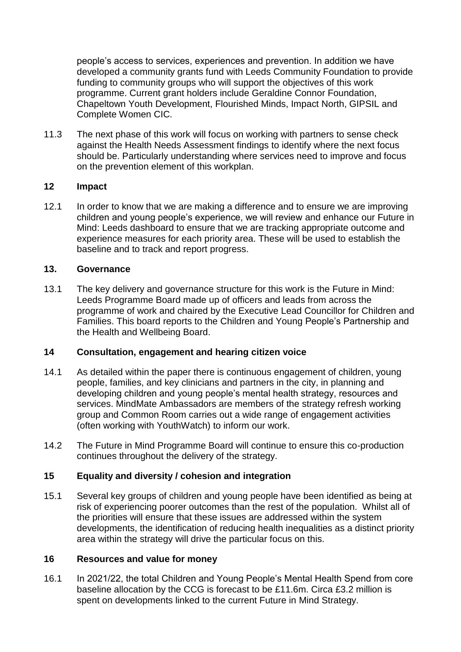people's access to services, experiences and prevention. In addition we have developed a community grants fund with Leeds Community Foundation to provide funding to community groups who will support the objectives of this work programme. Current grant holders include Geraldine Connor Foundation, Chapeltown Youth Development, Flourished Minds, Impact North, GIPSIL and Complete Women CIC.

11.3 The next phase of this work will focus on working with partners to sense check against the Health Needs Assessment findings to identify where the next focus should be. Particularly understanding where services need to improve and focus on the prevention element of this workplan.

# **12 Impact**

12.1 In order to know that we are making a difference and to ensure we are improving children and young people's experience, we will review and enhance our Future in Mind: Leeds dashboard to ensure that we are tracking appropriate outcome and experience measures for each priority area. These will be used to establish the baseline and to track and report progress.

#### **13. Governance**

13.1 The key delivery and governance structure for this work is the Future in Mind: Leeds Programme Board made up of officers and leads from across the programme of work and chaired by the Executive Lead Councillor for Children and Families. This board reports to the Children and Young People's Partnership and the Health and Wellbeing Board.

#### **14 Consultation, engagement and hearing citizen voice**

- 14.1 As detailed within the paper there is continuous engagement of children, young people, families, and key clinicians and partners in the city, in planning and developing children and young people's mental health strategy, resources and services. MindMate Ambassadors are members of the strategy refresh working group and Common Room carries out a wide range of engagement activities (often working with YouthWatch) to inform our work.
- 14.2 The Future in Mind Programme Board will continue to ensure this co-production continues throughout the delivery of the strategy.

#### **15 Equality and diversity / cohesion and integration**

15.1 Several key groups of children and young people have been identified as being at risk of experiencing poorer outcomes than the rest of the population. Whilst all of the priorities will ensure that these issues are addressed within the system developments, the identification of reducing health inequalities as a distinct priority area within the strategy will drive the particular focus on this.

#### **16 Resources and value for money**

16.1 In 2021/22, the total Children and Young People's Mental Health Spend from core baseline allocation by the CCG is forecast to be £11.6m. Circa £3.2 million is spent on developments linked to the current Future in Mind Strategy.